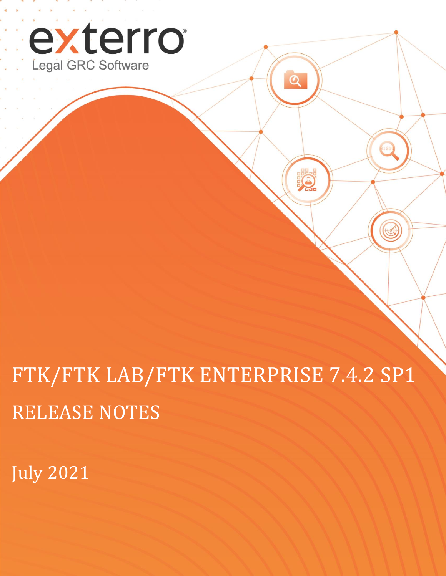

FTK/FTK LAB/FTK ENTERPRISE 7.4.2 SP1 RELEASE NOTES

 $\overline{\mathcal{Q}}$ 

 $\rm \Omega$ 

101

C

July 2021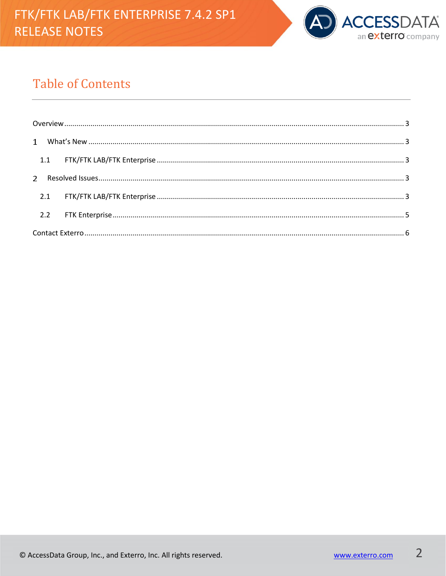

# **Table of Contents**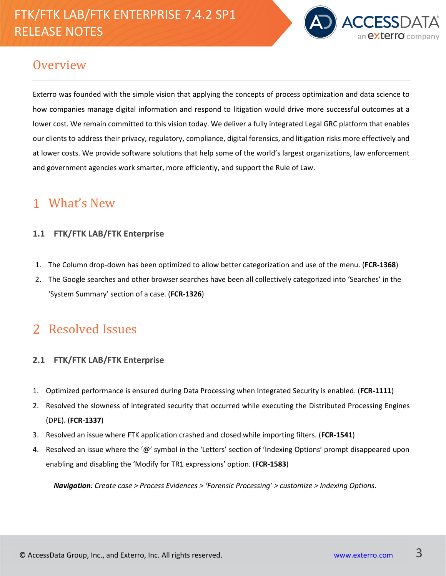# FTK/FTK LAB/FTK ENTERPRISE 7.4.2 SP1 RELEASE NOTES



### <span id="page-2-0"></span>**Overview**

Exterro was founded with the simple vision that applying the concepts of process optimization and data science to how companies manage digital information and respond to litigation would drive more successful outcomes at a lower cost. We remain committed to this vision today. We deliver a fully integrated Legal GRC platform that enables our clients to address their privacy, regulatory, compliance, digital forensics, and litigation risks more effectively and at lower costs. We provide software solutions that help some of the world's largest organizations, law enforcement and government agencies work smarter, more efficiently, and support the Rule of Law.

#### <span id="page-2-1"></span>What's New 1

### <span id="page-2-2"></span>**1.1 FTK/FTK LAB/FTK Enterprise**

- 1. The Column drop-down has been optimized to allow better categorization and use of the menu. (**FCR-1368**)
- 2. The Google searches and other browser searches have been all collectively categorized into 'Searches' in the 'System Summary' section of a case. (**FCR-1326**)

## <span id="page-2-3"></span>Resolved Issues

#### <span id="page-2-4"></span>**2.1 FTK/FTK LAB/FTK Enterprise**

- 1. Optimized performance is ensured during Data Processing when Integrated Security is enabled. (**FCR-1111**)
- 2. Resolved the slowness of integrated security that occurred while executing the Distributed Processing Engines (DPE). (**FCR-1337**)
- 3. Resolved an issue where FTK application crashed and closed while importing filters. (**FCR-1541**)
- 4. Resolved an issue where the '@' symbol in the 'Letters' section of 'Indexing Options' prompt disappeared upon enabling and disabling the 'Modify for TR1 expressions' option. (**FCR-1583**)

*Navigation: Create case > Process Evidences > 'Forensic Processing' > customize > Indexing Options.*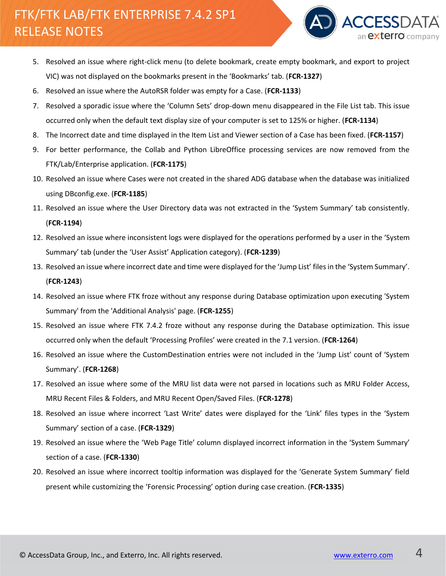# FTK/FTK LAB/FTK ENTERPRISE 7.4.2 SP1 RELEASE NOTES



- 5. Resolved an issue where right-click menu (to delete bookmark, create empty bookmark, and export to project VIC) was not displayed on the bookmarks present in the 'Bookmarks' tab. (**FCR-1327**)
- 6. Resolved an issue where the AutoRSR folder was empty for a Case. (**FCR-1133**)
- 7. Resolved a sporadic issue where the 'Column Sets' drop-down menu disappeared in the File List tab. This issue occurred only when the default text display size of your computer is set to 125% or higher. (**FCR-1134**)
- 8. The Incorrect date and time displayed in the Item List and Viewer section of a Case has been fixed. (**FCR-1157**)
- 9. For better performance, the Collab and Python LibreOffice processing services are now removed from the FTK/Lab/Enterprise application. (**FCR-1175**)
- 10. Resolved an issue where Cases were not created in the shared ADG database when the database was initialized using DBconfig.exe. (**FCR-1185**)
- 11. Resolved an issue where the User Directory data was not extracted in the 'System Summary' tab consistently. (**FCR-1194**)
- 12. Resolved an issue where inconsistent logs were displayed for the operations performed by a user in the 'System Summary' tab (under the 'User Assist' Application category). (**FCR-1239**)
- 13. Resolved an issue where incorrect date and time were displayed for the 'Jump List' files in the 'System Summary'. (**FCR-1243**)
- 14. Resolved an issue where FTK froze without any response during Database optimization upon executing 'System Summary' from the 'Additional Analysis' page. (**FCR-1255**)
- 15. Resolved an issue where FTK 7.4.2 froze without any response during the Database optimization. This issue occurred only when the default 'Processing Profiles' were created in the 7.1 version. (**FCR-1264**)
- 16. Resolved an issue where the CustomDestination entries were not included in the 'Jump List' count of 'System Summary'. (**FCR-1268**)
- 17. Resolved an issue where some of the MRU list data were not parsed in locations such as MRU Folder Access, MRU Recent Files & Folders, and MRU Recent Open/Saved Files. (**FCR-1278**)
- 18. Resolved an issue where incorrect 'Last Write' dates were displayed for the 'Link' files types in the 'System Summary' section of a case. (**FCR-1329**)
- 19. Resolved an issue where the 'Web Page Title' column displayed incorrect information in the 'System Summary' section of a case. (**FCR-1330**)
- 20. Resolved an issue where incorrect tooltip information was displayed for the 'Generate System Summary' field present while customizing the 'Forensic Processing' option during case creation. (**FCR-1335**)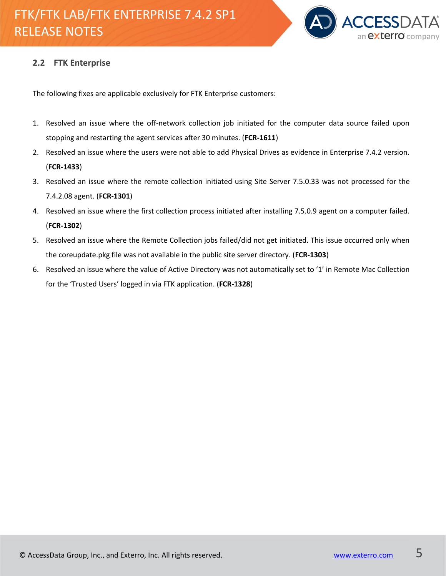

#### <span id="page-4-0"></span>**2.2 FTK Enterprise**

The following fixes are applicable exclusively for FTK Enterprise customers:

- 1. Resolved an issue where the off-network collection job initiated for the computer data source failed upon stopping and restarting the agent services after 30 minutes. (**FCR-1611**)
- 2. Resolved an issue where the users were not able to add Physical Drives as evidence in Enterprise 7.4.2 version. (**FCR-1433**)
- 3. Resolved an issue where the remote collection initiated using Site Server 7.5.0.33 was not processed for the 7.4.2.08 agent. (**FCR-1301**)
- 4. Resolved an issue where the first collection process initiated after installing 7.5.0.9 agent on a computer failed. (**FCR-1302**)
- 5. Resolved an issue where the Remote Collection jobs failed/did not get initiated. This issue occurred only when the coreupdate.pkg file was not available in the public site server directory. (**FCR-1303**)
- 6. Resolved an issue where the value of Active Directory was not automatically set to '1' in Remote Mac Collection for the 'Trusted Users' logged in via FTK application. (**FCR-1328**)